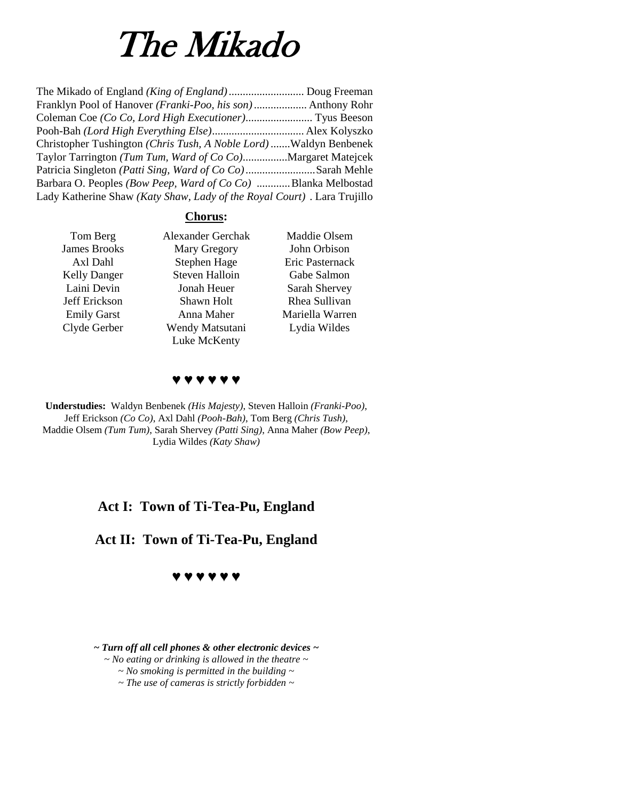# The Mikado

| Franklyn Pool of Hanover (Franki-Poo, his son) Anthony Rohr             |  |
|-------------------------------------------------------------------------|--|
|                                                                         |  |
|                                                                         |  |
| Christopher Tushington (Chris Tush, A Noble Lord) Waldyn Benbenek       |  |
| Taylor Tarrington (Tum Tum, Ward of Co Co)Margaret Matejcek             |  |
| Patricia Singleton (Patti Sing, Ward of Co Co)Sarah Mehle               |  |
| Barbara O. Peoples (Bow Peep, Ward of Co Co) Blanka Melbostad           |  |
| Lady Katherine Shaw (Katy Shaw, Lady of the Royal Court). Lara Trujillo |  |

## **Chorus:**

| Tom Berg            | <b>Alexander Gerchak</b> | Maddie Olsem    |
|---------------------|--------------------------|-----------------|
| <b>James Brooks</b> | Mary Gregory             | John Orbison    |
| Axl Dahl            | Stephen Hage             | Eric Pasternack |
| <b>Kelly Danger</b> | <b>Steven Halloin</b>    | Gabe Salmon     |
| Laini Devin         | Jonah Heuer              | Sarah Shervey   |
| Jeff Erickson       | Shawn Holt               | Rhea Sullivan   |
| <b>Emily Garst</b>  | Anna Maher               | Mariella Warren |
| Clyde Gerber        | Wendy Matsutani          | Lydia Wildes    |
|                     | Luke McKenty             |                 |

**♥ ♥ ♥ ♥ ♥ ♥**

**Understudies:** Waldyn Benbenek *(His Majesty)*, Steven Halloin *(Franki-Poo)*, Jeff Erickson *(Co Co)*, Axl Dahl *(Pooh-Bah)*, Tom Berg *(Chris Tush)*, Maddie Olsem *(Tum Tum)*, Sarah Shervey *(Patti Sing)*, Anna Maher *(Bow Peep)*, Lydia Wildes *(Katy Shaw)*

# **Act I: Town of Ti-Tea-Pu, England**

**Act II: Town of Ti-Tea-Pu, England**



*~ Turn off all cell phones & other electronic devices ~*

*~ No eating or drinking is allowed in the theatre ~*

*~ No smoking is permitted in the building ~*

*~ The use of cameras is strictly forbidden ~*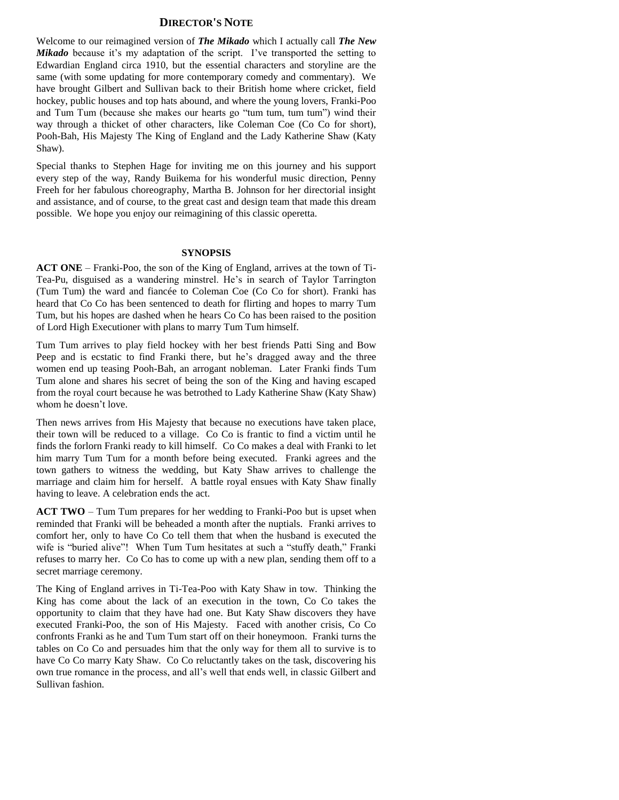#### **DIRECTOR'S NOTE**

Welcome to our reimagined version of *The Mikado* which I actually call *The New Mikado* because it's my adaptation of the script. I've transported the setting to Edwardian England circa 1910, but the essential characters and storyline are the same (with some updating for more contemporary comedy and commentary). We have brought Gilbert and Sullivan back to their British home where cricket, field hockey, public houses and top hats abound, and where the young lovers, Franki-Poo and Tum Tum (because she makes our hearts go "tum tum, tum tum") wind their way through a thicket of other characters, like Coleman Coe (Co Co for short), Pooh-Bah, His Majesty The King of England and the Lady Katherine Shaw (Katy Shaw).

Special thanks to Stephen Hage for inviting me on this journey and his support every step of the way, Randy Buikema for his wonderful music direction, Penny Freeh for her fabulous choreography, Martha B. Johnson for her directorial insight and assistance, and of course, to the great cast and design team that made this dream possible. We hope you enjoy our reimagining of this classic operetta.

#### **SYNOPSIS**

**ACT ONE** – Franki-Poo, the son of the King of England, arrives at the town of Ti-Tea-Pu, disguised as a wandering minstrel. He's in search of Taylor Tarrington (Tum Tum) the ward and fiancée to Coleman Coe (Co Co for short). Franki has heard that Co Co has been sentenced to death for flirting and hopes to marry Tum Tum, but his hopes are dashed when he hears Co Co has been raised to the position of Lord High Executioner with plans to marry Tum Tum himself.

Tum Tum arrives to play field hockey with her best friends Patti Sing and Bow Peep and is ecstatic to find Franki there, but he's dragged away and the three women end up teasing Pooh-Bah, an arrogant nobleman. Later Franki finds Tum Tum alone and shares his secret of being the son of the King and having escaped from the royal court because he was betrothed to Lady Katherine Shaw (Katy Shaw) whom he doesn't love.

Then news arrives from His Majesty that because no executions have taken place, their town will be reduced to a village. Co Co is frantic to find a victim until he finds the forlorn Franki ready to kill himself. Co Co makes a deal with Franki to let him marry Tum Tum for a month before being executed. Franki agrees and the town gathers to witness the wedding, but Katy Shaw arrives to challenge the marriage and claim him for herself. A battle royal ensues with Katy Shaw finally having to leave. A celebration ends the act.

**ACT TWO** – Tum Tum prepares for her wedding to Franki-Poo but is upset when reminded that Franki will be beheaded a month after the nuptials. Franki arrives to comfort her, only to have Co Co tell them that when the husband is executed the wife is "buried alive"! When Tum Tum hesitates at such a "stuffy death," Franki refuses to marry her. Co Co has to come up with a new plan, sending them off to a secret marriage ceremony.

The King of England arrives in Ti-Tea-Poo with Katy Shaw in tow. Thinking the King has come about the lack of an execution in the town, Co Co takes the opportunity to claim that they have had one. But Katy Shaw discovers they have executed Franki-Poo, the son of His Majesty. Faced with another crisis, Co Co confronts Franki as he and Tum Tum start off on their honeymoon. Franki turns the tables on Co Co and persuades him that the only way for them all to survive is to have Co Co marry Katy Shaw. Co Co reluctantly takes on the task, discovering his own true romance in the process, and all's well that ends well, in classic Gilbert and Sullivan fashion.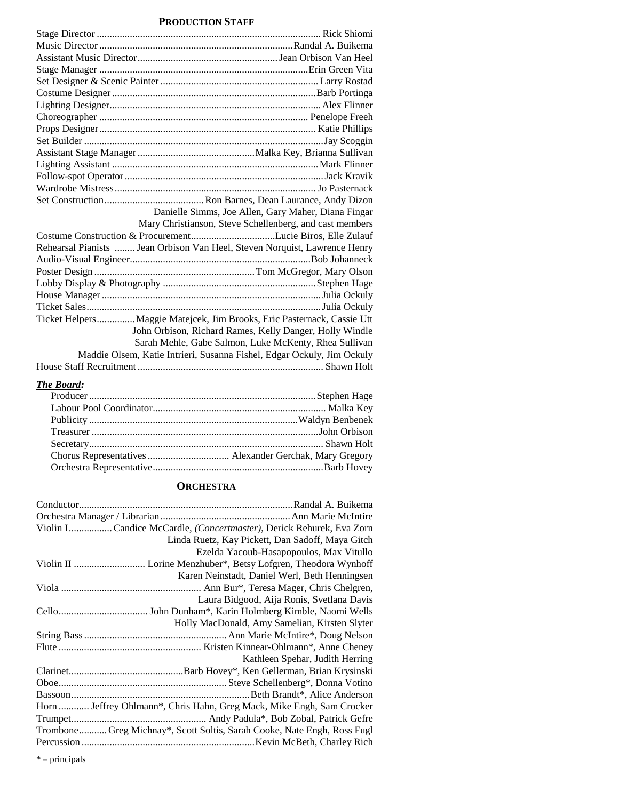## **PRODUCTION STAFF**

## *The Board:*

#### **ORCHESTRA**

| Violin I Candice McCardle, (Concertmaster), Derick Rehurek, Eva Zorn    |
|-------------------------------------------------------------------------|
| Linda Ruetz, Kay Pickett, Dan Sadoff, Maya Gitch                        |
| Ezelda Yacoub-Hasapopoulos, Max Vitullo                                 |
|                                                                         |
| Karen Neinstadt, Daniel Werl, Beth Henningsen                           |
|                                                                         |
| Laura Bidgood, Aija Ronis, Svetlana Davis                               |
|                                                                         |
| Holly MacDonald, Amy Samelian, Kirsten Slyter                           |
|                                                                         |
|                                                                         |
| Kathleen Spehar, Judith Herring                                         |
|                                                                         |
|                                                                         |
|                                                                         |
| Horn  Jeffrey Ohlmann*, Chris Hahn, Greg Mack, Mike Engh, Sam Crocker   |
|                                                                         |
| Trombone Greg Michnay*, Scott Soltis, Sarah Cooke, Nate Engh, Ross Fugl |
|                                                                         |

\* – principals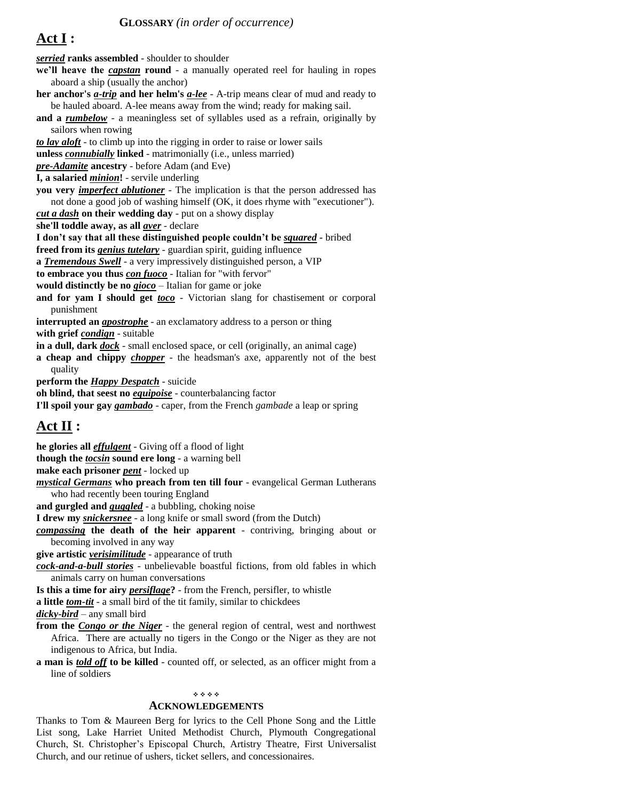# **Act I :**

*serried* **ranks assembled** - shoulder to shoulder **we'll heave the** *capstan* **round** - a manually operated reel for hauling in ropes aboard a ship (usually the anchor) **her anchor's** *a-trip* **and her helm's** *a-lee* - A-trip means clear of mud and ready to be hauled aboard. A-lee means away from the wind; ready for making sail. **and a** *rumbelow* - a meaningless set of syllables used as a refrain, originally by sailors when rowing *to lay aloft* - to climb up into the rigging in order to raise or lower sails **unless** *connubially* **linked** - matrimonially (i.e., unless married) *pre-Adamite* **ancestry** - before Adam (and Eve) **I, a salaried** *minion***!** - servile underling **you very** *imperfect ablutioner* - The implication is that the person addressed has not done a good job of washing himself (OK, it does rhyme with "executioner"). *cut a dash* **on their wedding day** - put on a showy display **she'll toddle away, as all** *aver* - declare **I don't say that all these distinguished people couldn't be** *squared* **-** bribed **freed from its** *genius tutelary* - guardian spirit, guiding influence **a** *Tremendous Swell* - a very impressively distinguished person, a VIP **to embrace you thus** *con fuoco* - Italian for "with fervor" **would distinctly be no** *gioco* – Italian for game or joke **and for yam I should get** *toco* - Victorian slang for chastisement or corporal punishment **interrupted an** *apostrophe* - an exclamatory address to a person or thing **with grief** *condign* - suitable **in a dull, dark** *dock* - small enclosed space, or cell (originally, an animal cage) **a cheap and chippy** *chopper* - the headsman's axe, apparently not of the best quality **perform the** *Happy Despatch* - suicide **oh blind, that seest no** *equipoise* - counterbalancing factor **I'll spoil your gay** *gambado* - caper, from the French *gambade* a leap or spring **Act II :**

**he glories all** *effulgent* - Giving off a flood of light **though the** *tocsin* **sound ere long** - a warning bell **make each prisoner** *pent* - locked up *mystical Germans* **who preach from ten till four** - evangelical German Lutherans who had recently been touring England **and gurgled and** *guggled* - a bubbling, choking noise **I drew my** *snickersnee* - a long knife or small sword (from the Dutch) *compassing* **the death of the heir apparent** - contriving, bringing about or becoming involved in any way **give artistic** *verisimilitude* - appearance of truth *cock-and-a-bull stories* - unbelievable boastful fictions, from old fables in which animals carry on human conversations **Is this a time for airy** *persiflage***?** - from the French, persifler, to whistle **a little** *tom-tit* - a small bird of the tit family, similar to chickdees *dicky-bird* – any small bird **from the** *Congo or the Niger* - the general region of central, west and northwest Africa. There are actually no tigers in the Congo or the Niger as they are not

indigenous to Africa, but India.

**a man is** *told off* **to be killed** - counted off, or selected, as an officer might from a line of soldiers

#### 

#### **ACKNOWLEDGEMENTS**

Thanks to Tom & Maureen Berg for lyrics to the Cell Phone Song and the Little List song, Lake Harriet United Methodist Church, Plymouth Congregational Church, St. Christopher's Episcopal Church, Artistry Theatre, First Universalist Church, and our retinue of ushers, ticket sellers, and concessionaires.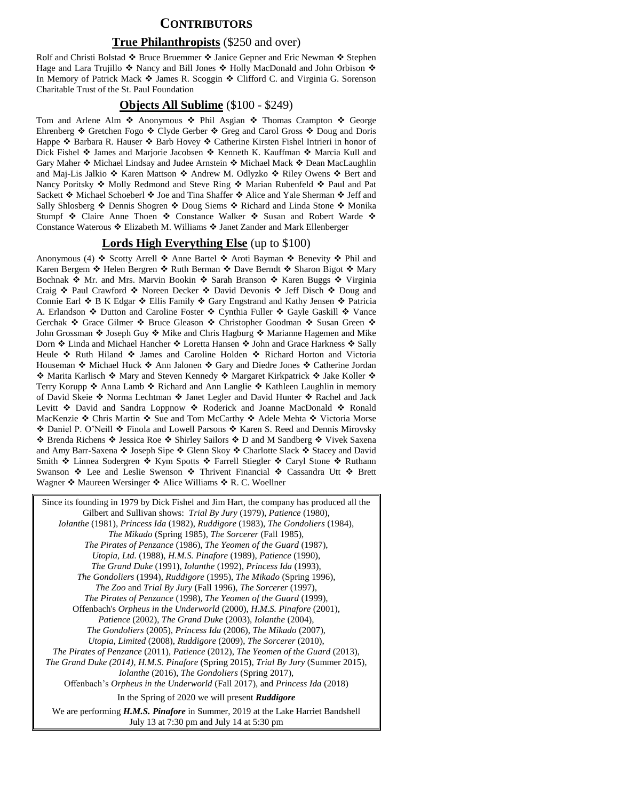### **CONTRIBUTORS**

#### **True Philanthropists** (\$250 and over)

Rolf and Christi Bolstad  $\clubsuit$  Bruce Bruemmer  $\clubsuit$  Janice Gepner and Eric Newman  $\clubsuit$  Stephen Hage and Lara Trujillo  $\cdot$  Nancy and Bill Jones  $\cdot \cdot$  Holly MacDonald and John Orbison  $\cdot \cdot$ In Memory of Patrick Mack ◆ James R. Scoggin ◆ Clifford C. and Virginia G. Sorenson Charitable Trust of the St. Paul Foundation

#### **Objects All Sublime** (\$100 - \$249)

Tom and Arlene Alm  $\hat{\cdot}$  Anonymous  $\hat{\cdot}$  Phil Asgian  $\hat{\cdot}$  Thomas Crampton  $\hat{\cdot}$  George Ehrenberg ❖ Gretchen Fogo ❖ Clyde Gerber ❖ Greg and Carol Gross ❖ Doug and Doris Happe ❖ Barbara R. Hauser ❖ Barb Hovey ❖ Catherine Kirsten Fishel Intrieri in honor of Dick Fishel  $\clubsuit$  James and Marjorie Jacobsen  $\clubsuit$  Kenneth K. Kauffman  $\clubsuit$  Marcia Kull and Gary Maher  $*$  Michael Lindsay and Judee Arnstein  $*$  Michael Mack  $*$  Dean MacLaughlin and Maj-Lis Jalkio  $\clubsuit$  Karen Mattson  $\clubsuit$  Andrew M. Odlyzko  $\clubsuit$  Riley Owens  $\clubsuit$  Bert and Nancy Poritsky  $\cdot \cdot$  Molly Redmond and Steve Ring  $\cdot \cdot$  Marian Rubenfeld  $\cdot \cdot$  Paul and Pat Sackett  $\triangle$  Michael Schoeberl  $\triangle$  Joe and Tina Shaffer  $\triangle$  Alice and Yale Sherman  $\triangle$  Jeff and Sally Shlosberg  $\triangle$  Dennis Shogren  $\triangle$  Doug Siems  $\triangle$  Richard and Linda Stone  $\triangle$  Monika Stumpf  $\cdot$  Claire Anne Thoen  $\cdot \cdot$  Constance Walker  $\cdot \cdot$  Susan and Robert Warde  $\cdot \cdot$ Constance Waterous  $\div$  Elizabeth M. Williams  $\div$  Janet Zander and Mark Ellenberger

#### **Lords High Everything Else** (up to \$100)

Anonymous (4)  $\triangle$  Scotty Arrell  $\triangle$  Anne Bartel  $\triangle$  Aroti Bayman  $\triangle$  Benevity  $\triangle$  Phil and Karen Bergem ❖ Helen Bergren ❖ Ruth Berman ❖ Dave Berndt ❖ Sharon Bigot ❖ Mary Bochnak ❖ Mr. and Mrs. Marvin Bookin ❖ Sarah Branson ❖ Karen Buggs ❖ Virginia Craig  $\div$  Paul Crawford  $\div$  Noreen Decker  $\div$  David Devonis  $\div$  Jeff Disch  $\div$  Doug and Connie Earl ❖ B K Edgar ❖ Ellis Family ❖ Gary Engstrand and Kathy Jensen ❖ Patricia A. Erlandson  $\triangle$  Dutton and Caroline Foster  $\triangle$  Cynthia Fuller  $\triangle$  Gayle Gaskill  $\triangle$  Vance Gerchak ◆ Grace Gilmer ◆ Bruce Gleason ◆ Christopher Goodman ◆ Susan Green ◆ John Grossman  $\cdot$  Joseph Guy  $\cdot \cdot$  Mike and Chris Hagburg  $\cdot \cdot$  Marianne Hagemen and Mike Dorn ❖ Linda and Michael Hancher ❖ Loretta Hansen ❖ John and Grace Harkness ❖ Sally Heule ❖ Ruth Hiland ❖ James and Caroline Holden ❖ Richard Horton and Victoria Houseman ❖ Michael Huck ❖ Ann Jalonen ❖ Gary and Diedre Jones ❖ Catherine Jordan  $\triangle$  Marita Karlisch  $\triangle$  Mary and Steven Kennedy  $\triangle$  Margaret Kirkpatrick  $\triangle$  Jake Koller  $\triangle$ Terry Korupp ❖ Anna Lamb ❖ Richard and Ann Langlie ❖ Kathleen Laughlin in memory of David Skeie ❖ Norma Lechtman ❖ Janet Legler and David Hunter ❖ Rachel and Jack Levitt ❖ David and Sandra Loppnow ❖ Roderick and Joanne MacDonald ❖ Ronald MacKenzie ❖ Chris Martin ❖ Sue and Tom McCarthy ❖ Adele Mehta ❖ Victoria Morse ◆ Daniel P. O'Neill ◆ Finola and Lowell Parsons ◆ Karen S. Reed and Dennis Mirovsky † Brenda Richens ♦ Jessica Roe ♦ Shirley Sailors ♦ D and M Sandberg ♦ Vivek Saxena and Amy Barr-Saxena  $\cdot$  Joseph Sipe  $\cdot \cdot$  Glenn Skoy  $\cdot \cdot$  Charlotte Slack  $\cdot \cdot$  Stacey and David Smith  $\triangle$  Linnea Sodergren  $\triangle$  Kym Spotts  $\triangle$  Farrell Stiegler  $\triangle$  Caryl Stone  $\triangle$  Ruthann Swanson  $\div$  Lee and Leslie Swenson  $\div$  Thrivent Financial  $\div$  Cassandra Utt  $\div$  Brett Wagner  $\triangleleft$  Maureen Wersinger  $\triangleleft$  Alice Williams  $\triangleleft$  R. C. Woellner

Since its founding in 1979 by Dick Fishel and Jim Hart, the company has produced all the Gilbert and Sullivan shows: *Trial By Jury* (1979), *Patience* (1980), *Iolanthe* (1981), *Princess Ida* (1982), *Ruddigore* (1983), *The Gondoliers* (1984), *The Mikado* (Spring 1985), *The Sorcerer* (Fall 1985), *The Pirates of Penzance* (1986), *The Yeomen of the Guard* (1987), *Utopia, Ltd.* (1988), *H.M.S. Pinafore* (1989), *Patience* (1990), *The Grand Duke* (1991), *Iolanthe* (1992), *Princess Ida* (1993), *The Gondoliers* (1994), *Ruddigore* (1995), *The Mikado* (Spring 1996), *The Zoo* and *Trial By Jury* (Fall 1996), *The Sorcerer* (1997), *The Pirates of Penzance* (1998), *The Yeomen of the Guard* (1999), Offenbach's *Orpheus in the Underworld* (2000), *H.M.S. Pinafore* (2001), *Patience* (2002), *The Grand Duke* (2003), *Iolanthe* (2004), *The Gondoliers* (2005), *Princess Ida* (2006), *The Mikado* (2007), *Utopia, Limited* (2008), *Ruddigore* (2009), *The Sorcerer* (2010), *The Pirates of Penzance* (2011), *Patience* (2012), *The Yeomen of the Guard* (2013), *The Grand Duke (2014), H.M.S. Pinafore* (Spring 2015), *Trial By Jury* (Summer 2015), *Iolanthe* (2016), *The Gondoliers* (Spring 2017), Offenbach's *Orpheus in the Underworld* (Fall 2017), and *Princess Ida* (2018) In the Spring of 2020 we will present *Ruddigore* We are performing *H.M.S. Pinafore* in Summer, 2019 at the Lake Harriet Bandshell July 13 at 7:30 pm and July 14 at 5:30 pm